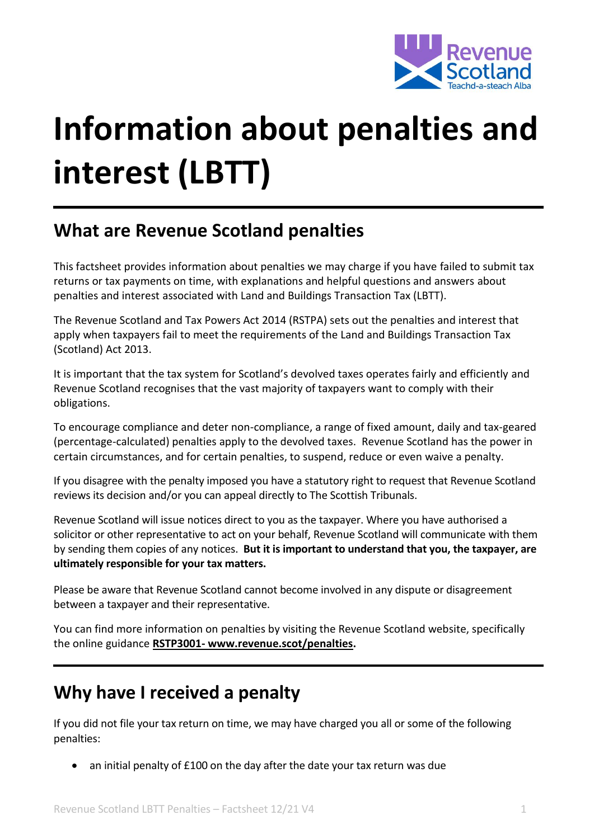

# **Information about penalties and interest (LBTT)**

# **What are Revenue Scotland penalties**

This factsheet provides information about penalties we may charge if you have failed to submit tax returns or tax payments on time, with explanations and helpful questions and answers about penalties and interest associated with Land and Buildings Transaction Tax (LBTT).

The Revenue Scotland and Tax Powers Act 2014 (RSTPA) sets out the penalties and interest that apply when taxpayers fail to meet the requirements of the Land and Buildings Transaction Tax (Scotland) Act 2013.

It is important that the tax system for Scotland's devolved taxes operates fairly and efficiently and Revenue Scotland recognises that the vast majority of taxpayers want to comply with their obligations.

To encourage compliance and deter non-compliance, a range of fixed amount, daily and tax-geared (percentage-calculated) penalties apply to the devolved taxes. Revenue Scotland has the power in certain circumstances, and for certain penalties, to suspend, reduce or even waive a penalty.

If you disagree with the penalty imposed you have a statutory right to request that Revenue Scotland reviews its decision and/or you can appeal directly to The Scottish Tribunals.

Revenue Scotland will issue notices direct to you as the taxpayer. Where you have authorised a solicitor or other representative to act on your behalf, Revenue Scotland will communicate with them by sending them copies of any notices. **But it is important to understand that you, the taxpayer, are ultimately responsible for your tax matters.** 

Please be aware that Revenue Scotland cannot become involved in any dispute or disagreement between a taxpayer and their representative.

You can find more information on penalties by visiting the Revenue Scotland website, specifically the online guidance **RSTP3001- [www.revenue.scot/penalties.](http://www.revenue.scot/penalties)**

#### **Why have I received a penalty**

If you did not file your tax return on time, we may have charged you all or some of the following penalties:

an initial penalty of £100 on the day after the date your tax return was due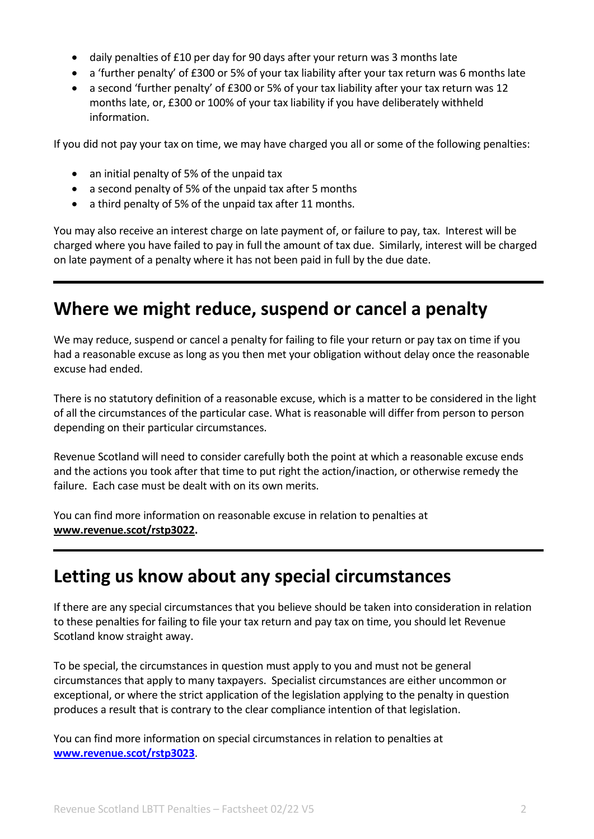- daily penalties of £10 per day for 90 days after your return was 3 months late
- a 'further penalty' of £300 or 5% of your tax liability after your tax return was 6 months late
- a second 'further penalty' of £300 or 5% of your tax liability after your tax return was 12 months late, or, £300 or 100% of your tax liability if you have deliberately withheld information.

If you did not pay your tax on time, we may have charged you all or some of the following penalties:

- an initial penalty of 5% of the unpaid tax
- a second penalty of 5% of the unpaid tax after 5 months
- a third penalty of 5% of the unpaid tax after 11 months.

You may also receive an interest charge on late payment of, or failure to pay, tax. Interest will be charged where you have failed to pay in full the amount of tax due. Similarly, interest will be charged on late payment of a penalty where it has not been paid in full by the due date.

## **Where we might reduce, suspend or cancel a penalty**

We may reduce, suspend or cancel a penalty for failing to file your return or pay tax on time if you had a reasonable excuse as long as you then met your obligation without delay once the reasonable excuse had ended.

There is no statutory definition of a reasonable excuse, which is a matter to be considered in the light of all the circumstances of the particular case. What is reasonable will differ from person to person depending on their particular circumstances.

Revenue Scotland will need to consider carefully both the point at which a reasonable excuse ends and the actions you took after that time to put right the action/inaction, or otherwise remedy the failure. Each case must be dealt with on its own merits.

You can find more information on reasonable excuse in relation to penalties at **[www.revenue.scot/rstp3022.](http://www.revenue.scot/rstp3022)**

#### **Letting us know about any special circumstances**

If there are any special circumstances that you believe should be taken into consideration in relation to these penalties for failing to file your tax return and pay tax on time, you should let Revenue Scotland know straight away.

To be special, the circumstances in question must apply to you and must not be general circumstances that apply to many taxpayers. Specialist circumstances are either uncommon or exceptional, or where the strict application of the legislation applying to the penalty in question produces a result that is contrary to the clear compliance intention of that legislation.

You can find more information on special circumstances in relation to penalties at **[www.revenue.scot/rstp3023](https://www.revenue.scot/rstp3023)**.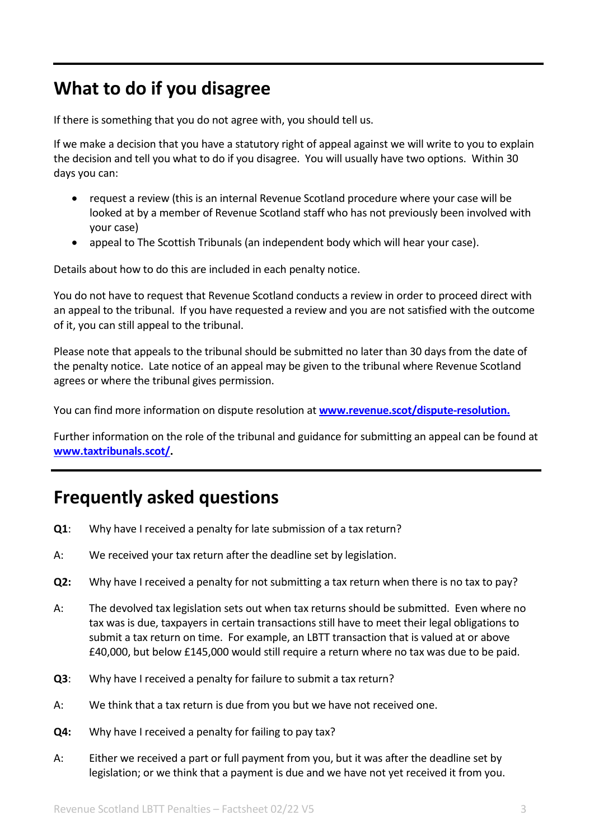# **What to do if you disagree**

If there is something that you do not agree with, you should tell us.

If we make a decision that you have a statutory right of appeal against we will write to you to explain the decision and tell you what to do if you disagree. You will usually have two options. Within 30 days you can:

- request a review (this is an internal Revenue Scotland procedure where your case will be looked at by a member of Revenue Scotland staff who has not previously been involved with your case)
- appeal to The Scottish Tribunals (an independent body which will hear your case).

Details about how to do this are included in each penalty notice.

You do not have to request that Revenue Scotland conducts a review in order to proceed direct with an appeal to the tribunal. If you have requested a review and you are not satisfied with the outcome of it, you can still appeal to the tribunal.

Please note that appeals to the tribunal should be submitted no later than 30 days from the date of the penalty notice. Late notice of an appeal may be given to the tribunal where Revenue Scotland agrees or where the tribunal gives permission.

You can find more information on dispute resolution at **[www.revenue.scot/dispute-resolution.](https://www.revenue.scot/dispute-resolution)**

Further information on the role of the tribunal and guidance for submitting an appeal can be found at **[www.taxtribunals.scot/.](http://www.taxtribunals.scot/)**

## **Frequently asked questions**

- **Q1**: Why have I received a penalty for late submission of a tax return?
- A: We received your tax return after the deadline set by legislation.
- **Q2:** Why have I received a penalty for not submitting a tax return when there is no tax to pay?
- A: The devolved tax legislation sets out when tax returns should be submitted. Even where no tax was is due, taxpayers in certain transactions still have to meet their legal obligations to submit a tax return on time. For example, an LBTT transaction that is valued at or above £40,000, but below £145,000 would still require a return where no tax was due to be paid.
- **Q3**: Why have I received a penalty for failure to submit a tax return?
- A: We think that a tax return is due from you but we have not received one.
- **Q4:** Why have I received a penalty for failing to pay tax?
- A: Either we received a part or full payment from you, but it was after the deadline set by legislation; or we think that a payment is due and we have not yet received it from you.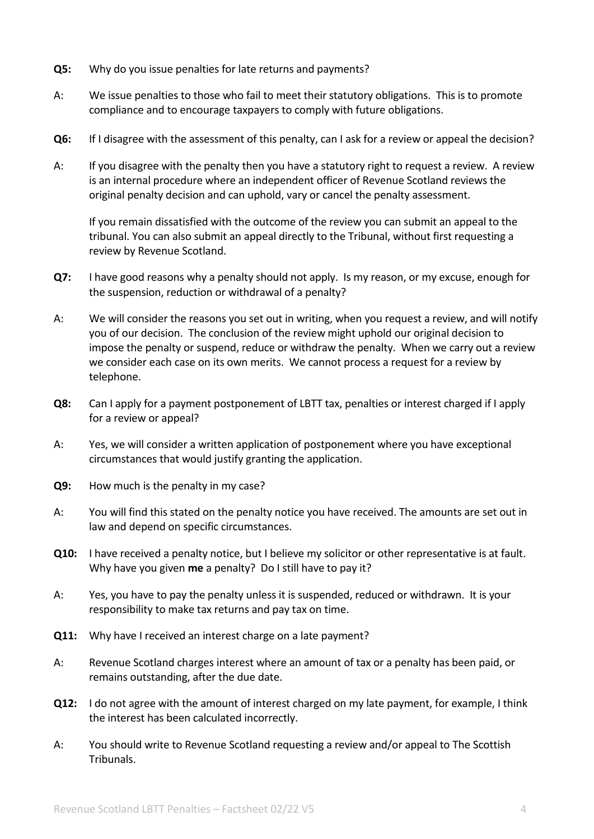- **Q5:** Why do you issue penalties for late returns and payments?
- A: We issue penalties to those who fail to meet their statutory obligations. This is to promote compliance and to encourage taxpayers to comply with future obligations.
- **Q6:** If I disagree with the assessment of this penalty, can I ask for a review or appeal the decision?
- A: If you disagree with the penalty then you have a statutory right to request a review. A review is an internal procedure where an independent officer of Revenue Scotland reviews the original penalty decision and can uphold, vary or cancel the penalty assessment.

If you remain dissatisfied with the outcome of the review you can submit an appeal to the tribunal. You can also submit an appeal directly to the Tribunal, without first requesting a review by Revenue Scotland.

- **Q7:** I have good reasons why a penalty should not apply. Is my reason, or my excuse, enough for the suspension, reduction or withdrawal of a penalty?
- A: We will consider the reasons you set out in writing, when you request a review, and will notify you of our decision. The conclusion of the review might uphold our original decision to impose the penalty or suspend, reduce or withdraw the penalty. When we carry out a review we consider each case on its own merits. We cannot process a request for a review by telephone.
- **Q8:** Can I apply for a payment postponement of LBTT tax, penalties or interest charged if I apply for a review or appeal?
- A: Yes, we will consider a written application of postponement where you have exceptional circumstances that would justify granting the application.
- **Q9:** How much is the penalty in my case?
- A: You will find this stated on the penalty notice you have received. The amounts are set out in law and depend on specific circumstances.
- **Q10:** I have received a penalty notice, but I believe my solicitor or other representative is at fault. Why have you given **me** a penalty? Do I still have to pay it?
- A: Yes, you have to pay the penalty unless it is suspended, reduced or withdrawn. It is your responsibility to make tax returns and pay tax on time.
- **Q11:** Why have I received an interest charge on a late payment?
- A: Revenue Scotland charges interest where an amount of tax or a penalty has been paid, or remains outstanding, after the due date.
- **Q12:** I do not agree with the amount of interest charged on my late payment, for example, I think the interest has been calculated incorrectly.
- A: You should write to Revenue Scotland requesting a review and/or appeal to The Scottish Tribunals.